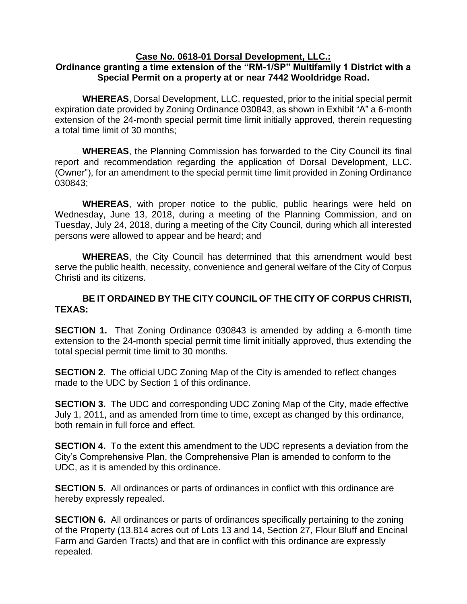## **Case No. 0618-01 Dorsal Development, LLC.:**

## **Ordinance granting a time extension of the "RM-1/SP" Multifamily 1 District with a Special Permit on a property at or near 7442 Wooldridge Road.**

**WHEREAS**, Dorsal Development, LLC. requested, prior to the initial special permit expiration date provided by Zoning Ordinance 030843, as shown in Exhibit "A" a 6-month extension of the 24-month special permit time limit initially approved, therein requesting a total time limit of 30 months;

**WHEREAS**, the Planning Commission has forwarded to the City Council its final report and recommendation regarding the application of Dorsal Development, LLC. (Owner"), for an amendment to the special permit time limit provided in Zoning Ordinance 030843;

**WHEREAS**, with proper notice to the public, public hearings were held on Wednesday, June 13, 2018, during a meeting of the Planning Commission, and on Tuesday, July 24, 2018, during a meeting of the City Council, during which all interested persons were allowed to appear and be heard; and

**WHEREAS**, the City Council has determined that this amendment would best serve the public health, necessity, convenience and general welfare of the City of Corpus Christi and its citizens.

## **BE IT ORDAINED BY THE CITY COUNCIL OF THE CITY OF CORPUS CHRISTI, TEXAS:**

**SECTION 1.** That Zoning Ordinance 030843 is amended by adding a 6-month time extension to the 24-month special permit time limit initially approved, thus extending the total special permit time limit to 30 months.

**SECTION 2.** The official UDC Zoning Map of the City is amended to reflect changes made to the UDC by Section 1 of this ordinance.

**SECTION 3.** The UDC and corresponding UDC Zoning Map of the City, made effective July 1, 2011, and as amended from time to time, except as changed by this ordinance, both remain in full force and effect.

**SECTION 4.** To the extent this amendment to the UDC represents a deviation from the City's Comprehensive Plan, the Comprehensive Plan is amended to conform to the UDC, as it is amended by this ordinance.

**SECTION 5.** All ordinances or parts of ordinances in conflict with this ordinance are hereby expressly repealed.

**SECTION 6.** All ordinances or parts of ordinances specifically pertaining to the zoning of the Property (13.814 acres out of Lots 13 and 14, Section 27, Flour Bluff and Encinal Farm and Garden Tracts) and that are in conflict with this ordinance are expressly repealed.